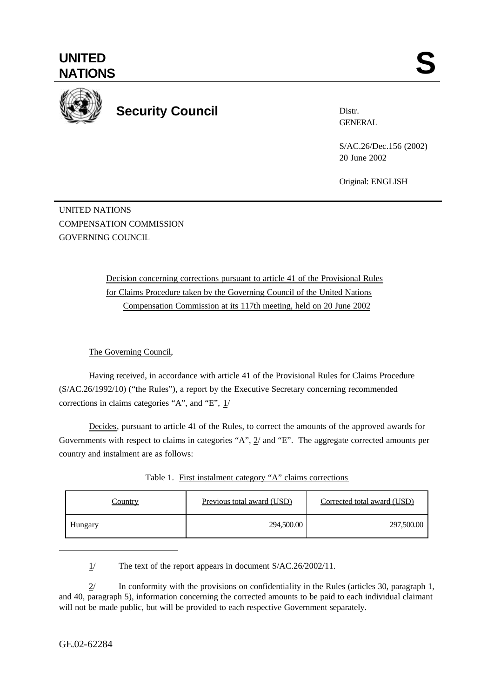

# **Security Council**

Distr. **GENERAL** 

S/AC.26/Dec.156 (2002) 20 June 2002

Original: ENGLISH

UNITED NATIONS COMPENSATION COMMISSION GOVERNING COUNCIL

> Decision concerning corrections pursuant to article 41 of the Provisional Rules for Claims Procedure taken by the Governing Council of the United Nations Compensation Commission at its 117th meeting, held on 20 June 2002

# The Governing Council,

Having received, in accordance with article 41 of the Provisional Rules for Claims Procedure (S/AC.26/1992/10) ("the Rules"), a report by the Executive Secretary concerning recommended corrections in claims categories "A", and "E", 1/

Decides, pursuant to article 41 of the Rules, to correct the amounts of the approved awards for Governments with respect to claims in categories "A", 2/ and "E". The aggregate corrected amounts per country and instalment are as follows:

| <u>Country</u> | Previous total award (USD) | Corrected total award (USD) |
|----------------|----------------------------|-----------------------------|
| Hungary        | 294,500.00                 | 297,500.00                  |

| Table 1. First instalment category "A" claims corrections |  |  |  |  |
|-----------------------------------------------------------|--|--|--|--|
|-----------------------------------------------------------|--|--|--|--|

1/ The text of the report appears in document S/AC.26/2002/11.

2/ In conformity with the provisions on confidentiality in the Rules (articles 30, paragraph 1, and 40, paragraph 5), information concerning the corrected amounts to be paid to each individual claimant will not be made public, but will be provided to each respective Government separately.

l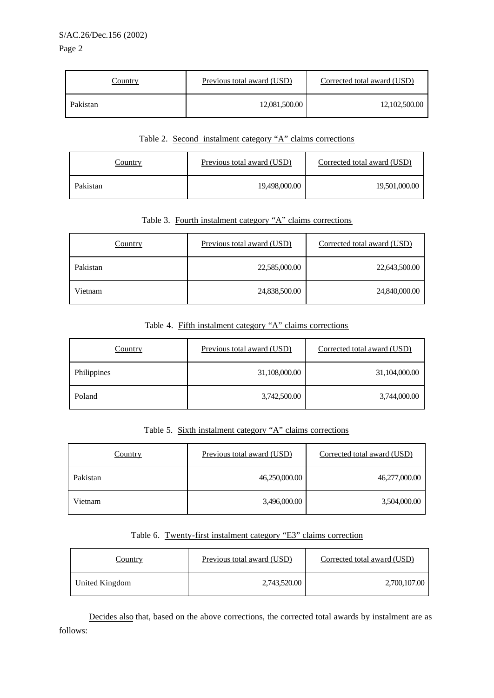| Country  | Previous total award (USD) | Corrected total award (USD) |
|----------|----------------------------|-----------------------------|
| Pakistan | 12,081,500.00              | 12,102,500.00               |

### Table 2. Second instalment category "A" claims corrections

| Country  | Previous total award (USD) | Corrected total award (USD) |
|----------|----------------------------|-----------------------------|
| Pakistan | 19,498,000.00              | 19,501,000.00               |

## Table 3. Fourth instalment category "A" claims corrections

| <b>Country</b> | Previous total award (USD) | Corrected total award (USD) |
|----------------|----------------------------|-----------------------------|
| Pakistan       | 22,585,000.00              | 22,643,500.00               |
| Vietnam        | 24,838,500.00              | 24,840,000.00               |

## Table 4. Fifth instalment category "A" claims corrections

| Country     | Previous total award (USD) | Corrected total award (USD) |
|-------------|----------------------------|-----------------------------|
| Philippines | 31,108,000.00              | 31,104,000.00               |
| Poland      | 3,742,500.00               | 3,744,000.00                |

### Table 5. Sixth instalment category "A" claims corrections

| Country  | Previous total award (USD) | Corrected total award (USD) |
|----------|----------------------------|-----------------------------|
| Pakistan | 46,250,000.00              | 46,277,000.00               |
| Vietnam  | 3,496,000.00               | 3,504,000.00                |

### Table 6. Twenty-first instalment category "E3" claims correction

| Country        | Previous total award (USD) | Corrected total award (USD) |
|----------------|----------------------------|-----------------------------|
| United Kingdom | 2,743,520.00               | 2,700,107.00                |

Decides also that, based on the above corrections, the corrected total awards by instalment are as follows: